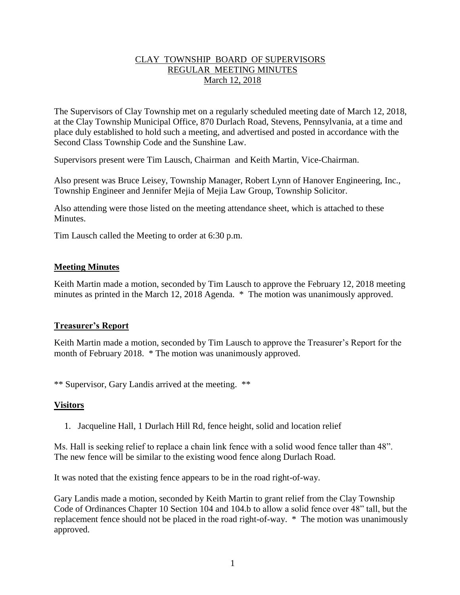## CLAY TOWNSHIP BOARD OF SUPERVISORS REGULAR MEETING MINUTES March 12, 2018

The Supervisors of Clay Township met on a regularly scheduled meeting date of March 12, 2018, at the Clay Township Municipal Office, 870 Durlach Road, Stevens, Pennsylvania, at a time and place duly established to hold such a meeting, and advertised and posted in accordance with the Second Class Township Code and the Sunshine Law.

Supervisors present were Tim Lausch, Chairman and Keith Martin, Vice-Chairman.

Also present was Bruce Leisey, Township Manager, Robert Lynn of Hanover Engineering, Inc., Township Engineer and Jennifer Mejia of Mejia Law Group, Township Solicitor.

Also attending were those listed on the meeting attendance sheet, which is attached to these Minutes.

Tim Lausch called the Meeting to order at 6:30 p.m.

## **Meeting Minutes**

Keith Martin made a motion, seconded by Tim Lausch to approve the February 12, 2018 meeting minutes as printed in the March 12, 2018 Agenda. \* The motion was unanimously approved.

### **Treasurer's Report**

Keith Martin made a motion, seconded by Tim Lausch to approve the Treasurer's Report for the month of February 2018. \* The motion was unanimously approved.

\*\* Supervisor, Gary Landis arrived at the meeting. \*\*

## **Visitors**

1. Jacqueline Hall, 1 Durlach Hill Rd, fence height, solid and location relief

Ms. Hall is seeking relief to replace a chain link fence with a solid wood fence taller than 48". The new fence will be similar to the existing wood fence along Durlach Road.

It was noted that the existing fence appears to be in the road right-of-way.

Gary Landis made a motion, seconded by Keith Martin to grant relief from the Clay Township Code of Ordinances Chapter 10 Section 104 and 104.b to allow a solid fence over 48" tall, but the replacement fence should not be placed in the road right-of-way. \* The motion was unanimously approved.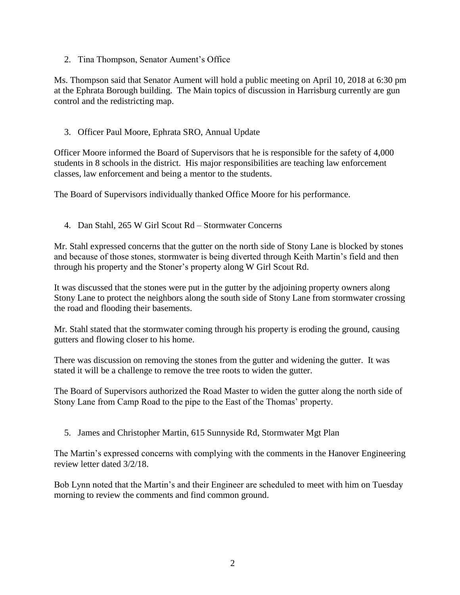2. Tina Thompson, Senator Aument's Office

Ms. Thompson said that Senator Aument will hold a public meeting on April 10, 2018 at 6:30 pm at the Ephrata Borough building. The Main topics of discussion in Harrisburg currently are gun control and the redistricting map.

3. Officer Paul Moore, Ephrata SRO, Annual Update

Officer Moore informed the Board of Supervisors that he is responsible for the safety of 4,000 students in 8 schools in the district. His major responsibilities are teaching law enforcement classes, law enforcement and being a mentor to the students.

The Board of Supervisors individually thanked Office Moore for his performance.

4. Dan Stahl, 265 W Girl Scout Rd – Stormwater Concerns

Mr. Stahl expressed concerns that the gutter on the north side of Stony Lane is blocked by stones and because of those stones, stormwater is being diverted through Keith Martin's field and then through his property and the Stoner's property along W Girl Scout Rd.

It was discussed that the stones were put in the gutter by the adjoining property owners along Stony Lane to protect the neighbors along the south side of Stony Lane from stormwater crossing the road and flooding their basements.

Mr. Stahl stated that the stormwater coming through his property is eroding the ground, causing gutters and flowing closer to his home.

There was discussion on removing the stones from the gutter and widening the gutter. It was stated it will be a challenge to remove the tree roots to widen the gutter.

The Board of Supervisors authorized the Road Master to widen the gutter along the north side of Stony Lane from Camp Road to the pipe to the East of the Thomas' property.

5. James and Christopher Martin, 615 Sunnyside Rd, Stormwater Mgt Plan

The Martin's expressed concerns with complying with the comments in the Hanover Engineering review letter dated 3/2/18.

Bob Lynn noted that the Martin's and their Engineer are scheduled to meet with him on Tuesday morning to review the comments and find common ground.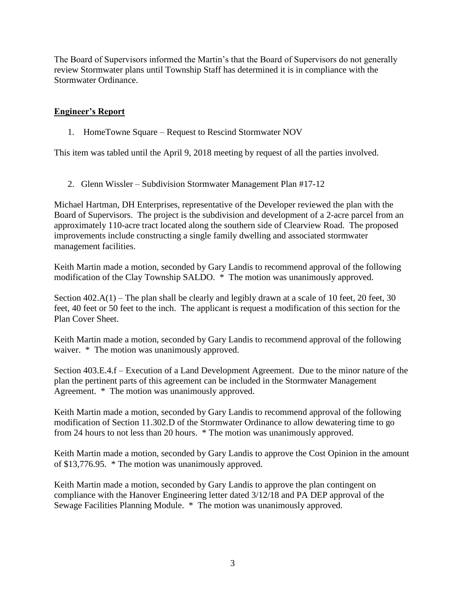The Board of Supervisors informed the Martin's that the Board of Supervisors do not generally review Stormwater plans until Township Staff has determined it is in compliance with the Stormwater Ordinance.

## **Engineer's Report**

1. HomeTowne Square – Request to Rescind Stormwater NOV

This item was tabled until the April 9, 2018 meeting by request of all the parties involved.

2. Glenn Wissler – Subdivision Stormwater Management Plan #17-12

Michael Hartman, DH Enterprises, representative of the Developer reviewed the plan with the Board of Supervisors. The project is the subdivision and development of a 2-acre parcel from an approximately 110-acre tract located along the southern side of Clearview Road. The proposed improvements include constructing a single family dwelling and associated stormwater management facilities.

Keith Martin made a motion, seconded by Gary Landis to recommend approval of the following modification of the Clay Township SALDO. \* The motion was unanimously approved.

Section 402.A(1) – The plan shall be clearly and legibly drawn at a scale of 10 feet, 20 feet, 30 feet, 40 feet or 50 feet to the inch. The applicant is request a modification of this section for the Plan Cover Sheet.

Keith Martin made a motion, seconded by Gary Landis to recommend approval of the following waiver. \* The motion was unanimously approved.

Section 403.E.4.f – Execution of a Land Development Agreement. Due to the minor nature of the plan the pertinent parts of this agreement can be included in the Stormwater Management Agreement. \* The motion was unanimously approved.

Keith Martin made a motion, seconded by Gary Landis to recommend approval of the following modification of Section 11.302.D of the Stormwater Ordinance to allow dewatering time to go from 24 hours to not less than 20 hours. \* The motion was unanimously approved.

Keith Martin made a motion, seconded by Gary Landis to approve the Cost Opinion in the amount of \$13,776.95. \* The motion was unanimously approved.

Keith Martin made a motion, seconded by Gary Landis to approve the plan contingent on compliance with the Hanover Engineering letter dated 3/12/18 and PA DEP approval of the Sewage Facilities Planning Module. \* The motion was unanimously approved.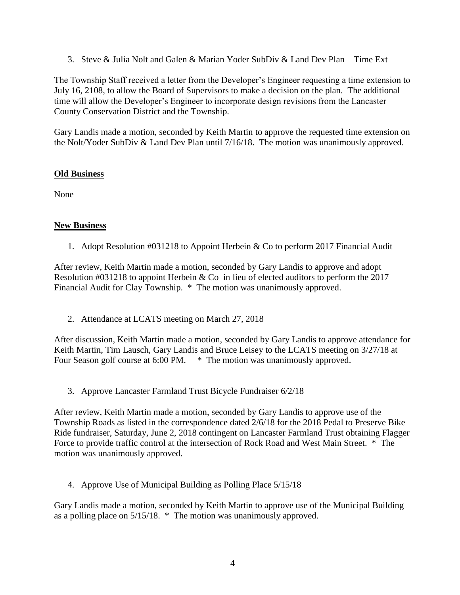3. Steve & Julia Nolt and Galen & Marian Yoder SubDiv & Land Dev Plan – Time Ext

The Township Staff received a letter from the Developer's Engineer requesting a time extension to July 16, 2108, to allow the Board of Supervisors to make a decision on the plan. The additional time will allow the Developer's Engineer to incorporate design revisions from the Lancaster County Conservation District and the Township.

Gary Landis made a motion, seconded by Keith Martin to approve the requested time extension on the Nolt/Yoder SubDiv & Land Dev Plan until 7/16/18. The motion was unanimously approved.

# **Old Business**

None

# **New Business**

1. Adopt Resolution #031218 to Appoint Herbein & Co to perform 2017 Financial Audit

After review, Keith Martin made a motion, seconded by Gary Landis to approve and adopt Resolution #031218 to appoint Herbein & Co in lieu of elected auditors to perform the 2017 Financial Audit for Clay Township. \* The motion was unanimously approved.

2. Attendance at LCATS meeting on March 27, 2018

After discussion, Keith Martin made a motion, seconded by Gary Landis to approve attendance for Keith Martin, Tim Lausch, Gary Landis and Bruce Leisey to the LCATS meeting on 3/27/18 at Four Season golf course at 6:00 PM.  $*$  The motion was unanimously approved.

3. Approve Lancaster Farmland Trust Bicycle Fundraiser 6/2/18

After review, Keith Martin made a motion, seconded by Gary Landis to approve use of the Township Roads as listed in the correspondence dated 2/6/18 for the 2018 Pedal to Preserve Bike Ride fundraiser, Saturday, June 2, 2018 contingent on Lancaster Farmland Trust obtaining Flagger Force to provide traffic control at the intersection of Rock Road and West Main Street. \* The motion was unanimously approved.

4. Approve Use of Municipal Building as Polling Place 5/15/18

Gary Landis made a motion, seconded by Keith Martin to approve use of the Municipal Building as a polling place on 5/15/18. \* The motion was unanimously approved.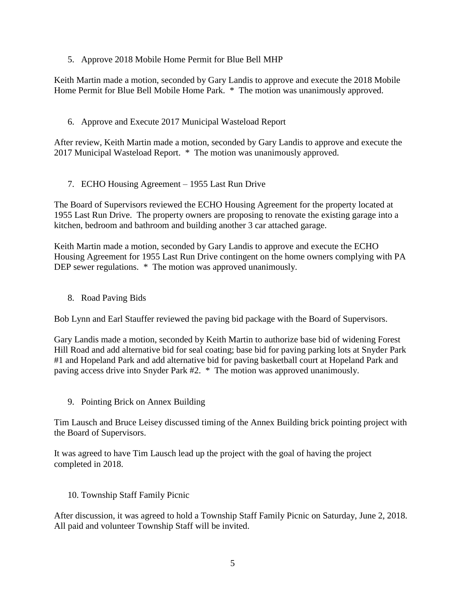5. Approve 2018 Mobile Home Permit for Blue Bell MHP

Keith Martin made a motion, seconded by Gary Landis to approve and execute the 2018 Mobile Home Permit for Blue Bell Mobile Home Park. \* The motion was unanimously approved.

6. Approve and Execute 2017 Municipal Wasteload Report

After review, Keith Martin made a motion, seconded by Gary Landis to approve and execute the 2017 Municipal Wasteload Report. \* The motion was unanimously approved.

7. ECHO Housing Agreement – 1955 Last Run Drive

The Board of Supervisors reviewed the ECHO Housing Agreement for the property located at 1955 Last Run Drive. The property owners are proposing to renovate the existing garage into a kitchen, bedroom and bathroom and building another 3 car attached garage.

Keith Martin made a motion, seconded by Gary Landis to approve and execute the ECHO Housing Agreement for 1955 Last Run Drive contingent on the home owners complying with PA DEP sewer regulations. \* The motion was approved unanimously.

8. Road Paving Bids

Bob Lynn and Earl Stauffer reviewed the paving bid package with the Board of Supervisors.

Gary Landis made a motion, seconded by Keith Martin to authorize base bid of widening Forest Hill Road and add alternative bid for seal coating; base bid for paving parking lots at Snyder Park #1 and Hopeland Park and add alternative bid for paving basketball court at Hopeland Park and paving access drive into Snyder Park #2. \* The motion was approved unanimously.

9. Pointing Brick on Annex Building

Tim Lausch and Bruce Leisey discussed timing of the Annex Building brick pointing project with the Board of Supervisors.

It was agreed to have Tim Lausch lead up the project with the goal of having the project completed in 2018.

10. Township Staff Family Picnic

After discussion, it was agreed to hold a Township Staff Family Picnic on Saturday, June 2, 2018. All paid and volunteer Township Staff will be invited.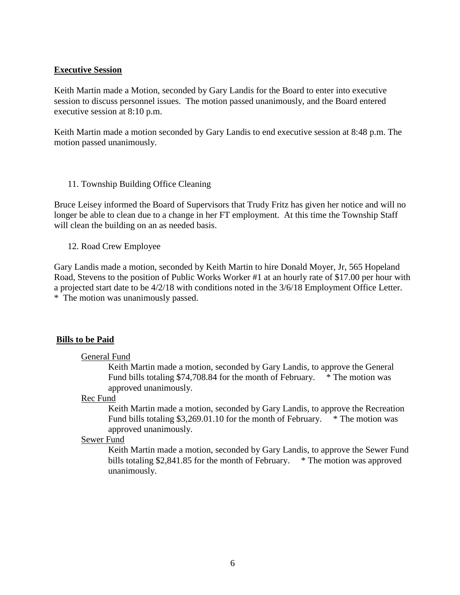### **Executive Session**

Keith Martin made a Motion, seconded by Gary Landis for the Board to enter into executive session to discuss personnel issues. The motion passed unanimously, and the Board entered executive session at 8:10 p.m.

Keith Martin made a motion seconded by Gary Landis to end executive session at 8:48 p.m. The motion passed unanimously.

11. Township Building Office Cleaning

Bruce Leisey informed the Board of Supervisors that Trudy Fritz has given her notice and will no longer be able to clean due to a change in her FT employment. At this time the Township Staff will clean the building on an as needed basis.

12. Road Crew Employee

Gary Landis made a motion, seconded by Keith Martin to hire Donald Moyer, Jr, 565 Hopeland Road, Stevens to the position of Public Works Worker #1 at an hourly rate of \$17.00 per hour with a projected start date to be 4/2/18 with conditions noted in the 3/6/18 Employment Office Letter. \* The motion was unanimously passed.

### **Bills to be Paid**

#### General Fund

Keith Martin made a motion, seconded by Gary Landis, to approve the General Fund bills totaling \$74,708.84 for the month of February. \* The motion was approved unanimously.

#### Rec Fund

Keith Martin made a motion, seconded by Gary Landis, to approve the Recreation Fund bills totaling  $$3,269.01.10$  for the month of February.  $*$  The motion was approved unanimously.

#### Sewer Fund

Keith Martin made a motion, seconded by Gary Landis, to approve the Sewer Fund bills totaling \$2,841.85 for the month of February. \* The motion was approved unanimously.